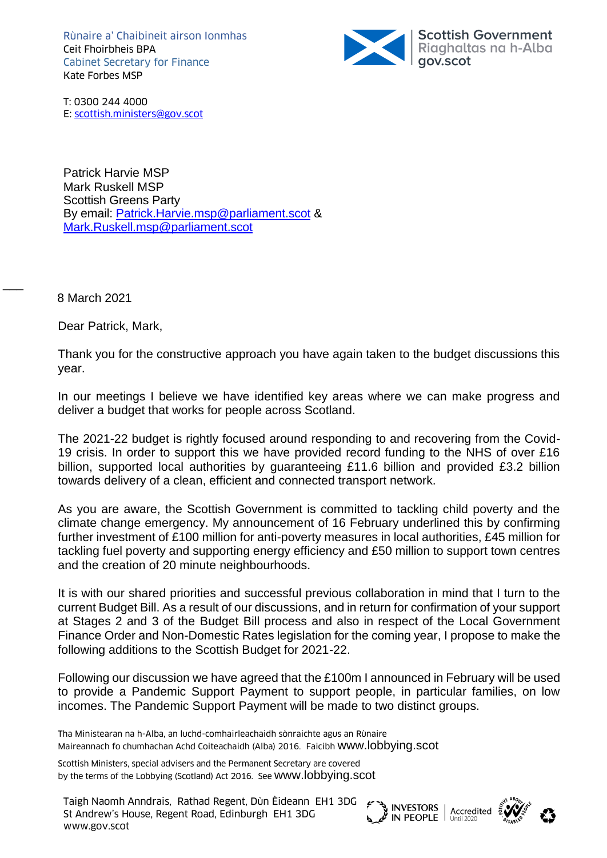Rùnaire a' Chaibineit airson Ionmhas Ceit Fhoirbheis BPA Cabinet Secretary for Finance Kate Forbes MSP



T: 0300 244 4000 E: [scottish.ministers@gov.scot](mailto:scottish.ministers@gov.scot)

E: scottish.ministers@gov.scot Patrick Harvie MSP Mark Ruskell MSP Scottish Greens Party By email: [Patrick.Harvie.msp@parliament.scot](mailto:Patrick.Harvie.msp@parliament.scot) & [Mark.Ruskell.msp@parliament.scot](mailto:Mark.Ruskell.msp@parliament.scot)

8 March 2021

 $\overline{\phantom{a}}$ 

Dear Patrick, Mark,

Thank you for the constructive approach you have again taken to the budget discussions this year.

In our meetings I believe we have identified key areas where we can make progress and deliver a budget that works for people across Scotland.

The 2021-22 budget is rightly focused around responding to and recovering from the Covid-19 crisis. In order to support this we have provided record funding to the NHS of over £16 billion, supported local authorities by guaranteeing £11.6 billion and provided £3.2 billion towards delivery of a clean, efficient and connected transport network.

As you are aware, the Scottish Government is committed to tackling child poverty and the climate change emergency. My announcement of 16 February underlined this by confirming further investment of £100 million for anti-poverty measures in local authorities, £45 million for tackling fuel poverty and supporting energy efficiency and £50 million to support town centres and the creation of 20 minute neighbourhoods.

It is with our shared priorities and successful previous collaboration in mind that I turn to the current Budget Bill. As a result of our discussions, and in return for confirmation of your support at Stages 2 and 3 of the Budget Bill process and also in respect of the Local Government Finance Order and Non-Domestic Rates legislation for the coming year, I propose to make the following additions to the Scottish Budget for 2021-22.

Following our discussion we have agreed that the £100m I announced in February will be used to provide a Pandemic Support Payment to support people, in particular families, on low incomes. The Pandemic Support Payment will be made to two distinct groups.

Tha Ministearan na h-Alba, an luchd-comhairleachaidh sònraichte agus an Rùnaire Maireannach fo chumhachan Achd Coiteachaidh (Alba) 2016. Faicibh [www.lobbying.scot](http://www.lobbying.scot/)

Scottish Ministers, special advisers and the Permanent Secretary are covered by the terms of the Lobbying (Scotland) Act 2016. See [www.lobbying.scot](http://www.lobbying.scot/)

Taigh Naomh Anndrais, Rathad Regent, Dùn Èideann EH1 3DG St Andrew's House, Regent Road, Edinburgh EH1 3DG I algn Naomn Annurais, Rathad Regent, Dun Eideann EHT 3DG<br>St Andrew's House, Regent Road, Edinburgh EHT 3DG<br>www.gov.scot





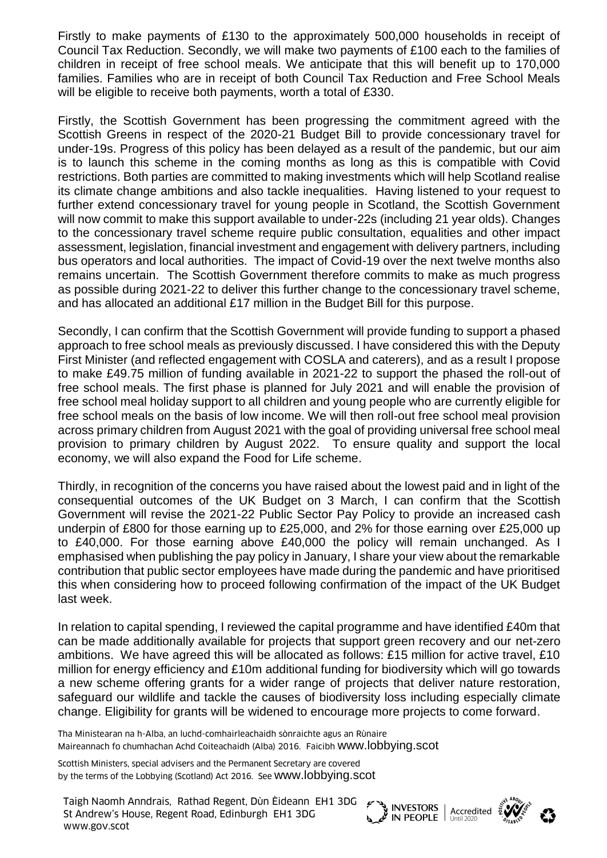Firstly to make payments of £130 to the approximately 500,000 households in receipt of Council Tax Reduction. Secondly, we will make two payments of £100 each to the families of children in receipt of free school meals. We anticipate that this will benefit up to 170,000 families. Families who are in receipt of both Council Tax Reduction and Free School Meals will be eligible to receive both payments, worth a total of £330.

Firstly, the Scottish Government has been progressing the commitment agreed with the Scottish Greens in respect of the 2020-21 Budget Bill to provide concessionary travel for under-19s. Progress of this policy has been delayed as a result of the pandemic, but our aim is to launch this scheme in the coming months as long as this is compatible with Covid restrictions. Both parties are committed to making investments which will help Scotland realise its climate change ambitions and also tackle inequalities. Having listened to your request to further extend concessionary travel for young people in Scotland, the Scottish Government will now commit to make this support available to under-22s (including 21 year olds). Changes to the concessionary travel scheme require public consultation, equalities and other impact assessment, legislation, financial investment and engagement with delivery partners, including bus operators and local authorities. The impact of Covid-19 over the next twelve months also remains uncertain. The Scottish Government therefore commits to make as much progress as possible during 2021-22 to deliver this further change to the concessionary travel scheme, and has allocated an additional £17 million in the Budget Bill for this purpose.

Secondly, I can confirm that the Scottish Government will provide funding to support a phased approach to free school meals as previously discussed. I have considered this with the Deputy First Minister (and reflected engagement with COSLA and caterers), and as a result I propose to make £49.75 million of funding available in 2021-22 to support the phased the roll-out of free school meals. The first phase is planned for July 2021 and will enable the provision of free school meal holiday support to all children and young people who are currently eligible for free school meals on the basis of low income. We will then roll-out free school meal provision across primary children from August 2021 with the goal of providing universal free school meal provision to primary children by August 2022. To ensure quality and support the local economy, we will also expand the Food for Life scheme.

Thirdly, in recognition of the concerns you have raised about the lowest paid and in light of the consequential outcomes of the UK Budget on 3 March, I can confirm that the Scottish Government will revise the 2021-22 Public Sector Pay Policy to provide an increased cash underpin of £800 for those earning up to £25,000, and 2% for those earning over £25,000 up to £40,000. For those earning above £40,000 the policy will remain unchanged. As I emphasised when publishing the pay policy in January, I share your view about the remarkable contribution that public sector employees have made during the pandemic and have prioritised this when considering how to proceed following confirmation of the impact of the UK Budget last week.

In relation to capital spending, I reviewed the capital programme and have identified £40m that can be made additionally available for projects that support green recovery and our net-zero ambitions. We have agreed this will be allocated as follows: £15 million for active travel, £10 million for energy efficiency and £10m additional funding for biodiversity which will go towards a new scheme offering grants for a wider range of projects that deliver nature restoration, safeguard our wildlife and tackle the causes of biodiversity loss including especially climate change. Eligibility for grants will be widened to encourage more projects to come forward.

Tha Ministearan na h-Alba, an luchd-comhairleachaidh sònraichte agus an Rùnaire Maireannach fo chumhachan Achd Coiteachaidh (Alba) 2016. Faicibh [www.lobbying.scot](http://www.lobbying.scot/)

Scottish Ministers, special advisers and the Permanent Secretary are covered by the terms of the Lobbying (Scotland) Act 2016. See [www.lobbying.scot](http://www.lobbying.scot/)

Taigh Naomh Anndrais, Rathad Regent, Dùn Èideann EH1 3DG St Andrew's House, Regent Road, Edinburgh EH1 3DG I algn Naomn Annurais, Rathad Regent, Dun Eideann EHT 3DG<br>St Andrew's House, Regent Road, Edinburgh EHT 3DG<br>www.gov.scot